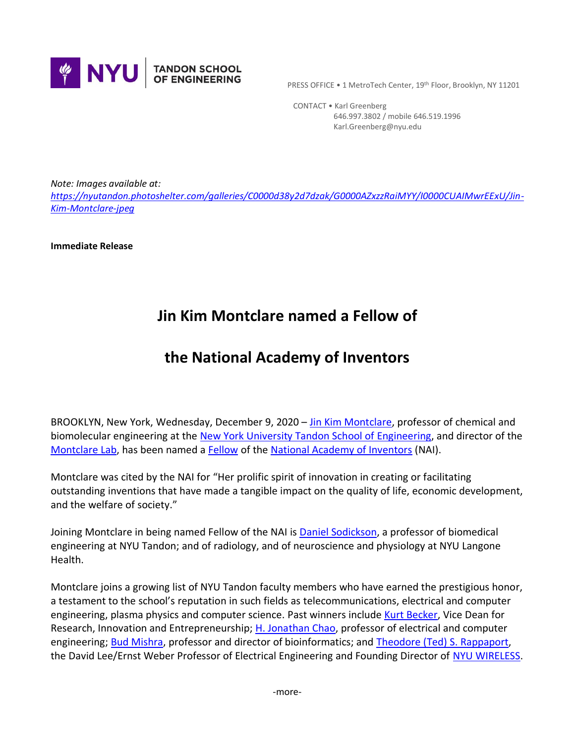

PRESS OFFICE . 1 MetroTech Center, 19th Floor, Brooklyn, NY 11201

 CONTACT • Karl Greenberg 646.997.3802 / mobile 646.519.1996 Karl.Greenberg@nyu.edu

*Note: Images available at: [https://nyutandon.photoshelter.com/galleries/C0000d38y2d7dzak/G0000AZxzzRaiMYY/I0000CUAIMwrEExU/Jin-](https://nyutandon.photoshelter.com/galleries/C0000d38y2d7dzak/G0000AZxzzRaiMYY/I0000CUAIMwrEExU/Jin-Kim-Montclare-jpeg)[Kim-Montclare-jpeg](https://nyutandon.photoshelter.com/galleries/C0000d38y2d7dzak/G0000AZxzzRaiMYY/I0000CUAIMwrEExU/Jin-Kim-Montclare-jpeg)*

**Immediate Release**

## **Jin Kim Montclare named a Fellow of**

## **the National Academy of Inventors**

BROOKLYN, New York, Wednesday, December 9, 2020 – [Jin Kim Montclare,](https://engineering.nyu.edu/faculty/jin-kim-montclare) professor of chemical and biomolecular engineering at the [New York University Tandon School of Engineering,](https://engineering.nyu.edu/) and director of the [Montclare Lab,](http://montclare.poly.edu/) has been named a [Fellow](https://www.prnewswire.com/news-releases/national-academy-of-inventors-announces-2020-fellows-301187629.html) of the [National Academy of Inventors](https://academyofinventors.org/) (NAI).

Montclare was cited by the NAI for "Her prolific spirit of innovation in creating or facilitating outstanding inventions that have made a tangible impact on the quality of life, economic development, and the welfare of society."

Joining Montclare in being named Fellow of the NAI is [Daniel Sodickson,](https://engineering.nyu.edu/faculty/daniel-sodickson) a professor of biomedical engineering at NYU Tandon; and of radiology, and of neuroscience and physiology at NYU Langone Health.

Montclare joins a growing list of NYU Tandon faculty members who have earned the prestigious honor, a testament to the school's reputation in such fields as telecommunications, electrical and computer engineering, plasma physics and computer science. Past winners include [Kurt Becker,](https://engineering.nyu.edu/faculty/kurt-becker) Vice Dean for Research, Innovation and Entrepreneurship; [H. Jonathan Chao,](https://engineering.nyu.edu/faculty/h-jonathan-chao) professor of electrical and computer engineering[; Bud Mishra,](https://engineering.nyu.edu/faculty/bud-mishra) professor and director of bioinformatics; and [Theodore \(Ted\) S. Rappaport,](https://engineering.nyu.edu/faculty/theodore-rappaport) the David Lee/Ernst Weber Professor of Electrical Engineering and Founding Director of [NYU WIRELESS.](https://engineering.nyu.edu/research-innovation/centers/nyu-wireless)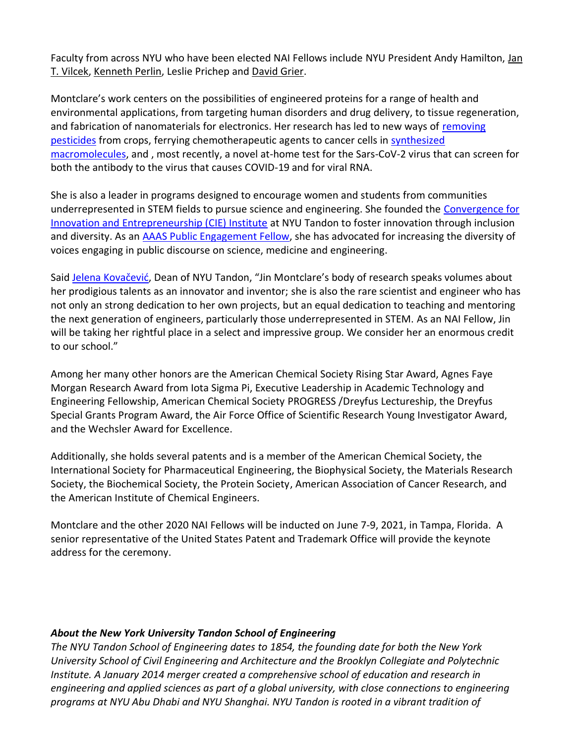Faculty from across NYU who have been elected NAI Fellows include NYU President Andy Hamilton, [Jan](https://med.nyu.edu/faculty/jan-t-vilcek)  T. [Vilcek,](https://med.nyu.edu/faculty/jan-t-vilcek) [Kenneth Perlin,](https://tisch.nyu.edu/itp/itp-people/faculty/adjuncts/ken-perlin) Leslie Prichep and [David Grier.](https://as.nyu.edu/faculty/david-grier.html)

Montclare's work centers on the possibilities of engineered proteins for a range of health and environmental applications, from targeting human disorders and drug delivery, to tissue regeneration, and fabrication of nanomaterials for electronics. Her research has led to new ways of [removing](https://engineering.nyu.edu/news/nyu-tandon-startup-paves-way-pesticide-free-cannabis-wine-grapes-and-other-high-value-crops)  [pesticides](https://engineering.nyu.edu/news/nyu-tandon-startup-paves-way-pesticide-free-cannabis-wine-grapes-and-other-high-value-crops) from crops, ferrying chemotherapeutic agents to cancer cells in [synthesized](https://engineering.nyu.edu/news/nyu-researcher-develops-unique-protein-based-delivery-system-dual-gene-and-drug-therapies)  [macromolecules,](https://engineering.nyu.edu/news/nyu-researcher-develops-unique-protein-based-delivery-system-dual-gene-and-drug-therapies) and , most recently, a novel at-home test for the Sars-CoV-2 virus that can screen for both the antibody to the virus that causes COVID-19 and for viral RNA.

She is also a leader in programs designed to encourage women and students from communities underrepresented in STEM fields to pursue science and engineering. She founded the [Convergence for](http://microsites.engineering.nyu.edu/cie/)  [Innovation and Entrepreneurship \(CIE\) Institute](http://microsites.engineering.nyu.edu/cie/) at NYU Tandon to foster innovation through inclusion and diversity. As an [AAAS Public Engagement Fellow,](https://www.aaas.org/news/jin-montclare-experiments-blogging-and-op-eds-connect-public) she has advocated for increasing the diversity of voices engaging in public discourse on science, medicine and engineering.

Said Jelena [Kovačević](https://engineering.nyu.edu/faculty/jelena-kovacevic), Dean of NYU Tandon, "Jin Montclare's body of research speaks volumes about her prodigious talents as an innovator and inventor; she is also the rare scientist and engineer who has not only an strong dedication to her own projects, but an equal dedication to teaching and mentoring the next generation of engineers, particularly those underrepresented in STEM. As an NAI Fellow, Jin will be taking her rightful place in a select and impressive group. We consider her an enormous credit to our school."

Among her many other honors are the American Chemical Society Rising Star Award, Agnes Faye Morgan Research Award from Iota Sigma Pi, Executive Leadership in Academic Technology and Engineering Fellowship, American Chemical Society PROGRESS /Dreyfus Lectureship, the Dreyfus Special Grants Program Award, the Air Force Office of Scientific Research Young Investigator Award, and the Wechsler Award for Excellence.

Additionally, she holds several patents and is a member of the American Chemical Society, the International Society for Pharmaceutical Engineering, the Biophysical Society, the Materials Research Society, the Biochemical Society, the Protein Society, American Association of Cancer Research, and the American Institute of Chemical Engineers.

Montclare and the other 2020 NAI Fellows will be inducted on June 7-9, 2021, in Tampa, Florida. A senior representative of the United States Patent and Trademark Office will provide the keynote address for the ceremony.

## *About the New York University Tandon School of Engineering*

*The NYU Tandon School of Engineering dates to 1854, the founding date for both the New York University School of Civil Engineering and Architecture and the Brooklyn Collegiate and Polytechnic Institute. A January 2014 merger created a comprehensive school of education and research in engineering and applied sciences as part of a global university, with close connections to engineering programs at NYU Abu Dhabi and NYU Shanghai. NYU Tandon is rooted in a vibrant tradition of*